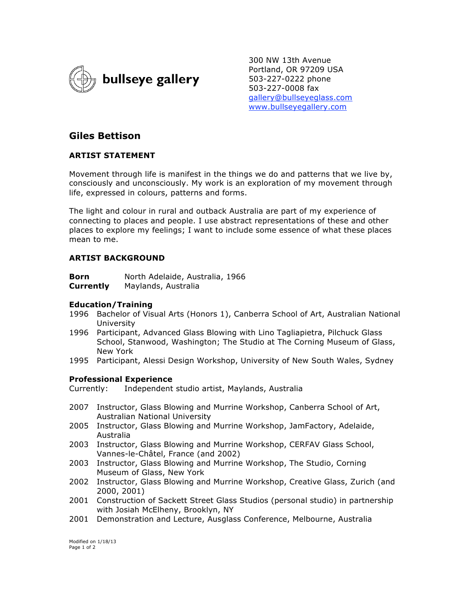

300 NW 13th Avenue Portland, OR 97209 USA 503-227-0222 phone 503-227-0008 fax gallery@bullseyeglass.com www.bullseyegallery.com

# **Giles Bettison**

# **ARTIST STATEMENT**

Movement through life is manifest in the things we do and patterns that we live by, consciously and unconsciously. My work is an exploration of my movement through life, expressed in colours, patterns and forms.

The light and colour in rural and outback Australia are part of my experience of connecting to places and people. I use abstract representations of these and other places to explore my feelings; I want to include some essence of what these places mean to me.

# **ARTIST BACKGROUND**

| Born             | North Adelaide, Australia, 1966 |
|------------------|---------------------------------|
| <b>Currently</b> | Maylands, Australia             |

#### **Education/Training**

- 1996 Bachelor of Visual Arts (Honors 1), Canberra School of Art, Australian National University
- 1996 Participant, Advanced Glass Blowing with Lino Tagliapietra, Pilchuck Glass School, Stanwood, Washington; The Studio at The Corning Museum of Glass, New York
- 1995 Participant, Alessi Design Workshop, University of New South Wales, Sydney

#### **Professional Experience**

Currently: Independent studio artist, Maylands, Australia

- 2007 Instructor, Glass Blowing and Murrine Workshop, Canberra School of Art, Australian National University
- 2005 Instructor, Glass Blowing and Murrine Workshop, JamFactory, Adelaide, Australia
- 2003 Instructor, Glass Blowing and Murrine Workshop, CERFAV Glass School, Vannes-le-Châtel, France (and 2002)
- 2003 Instructor, Glass Blowing and Murrine Workshop, The Studio, Corning Museum of Glass, New York
- 2002 Instructor, Glass Blowing and Murrine Workshop, Creative Glass, Zurich (and 2000, 2001)
- 2001 Construction of Sackett Street Glass Studios (personal studio) in partnership with Josiah McElheny, Brooklyn, NY
- 2001 Demonstration and Lecture, Ausglass Conference, Melbourne, Australia